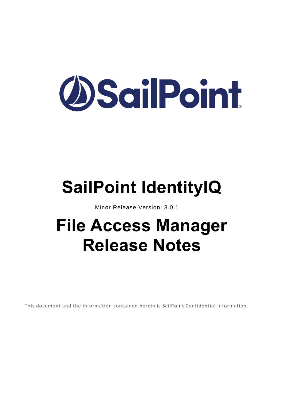# **OSailPoint**

# **SailPoint IdentityIQ**

Minor Release Version: 8.0.1

## **File Access Manager Release Notes**

This document and the information contained herein is SailPoint Confidential Information.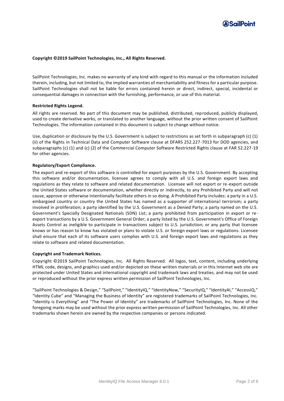

#### **Copyright ©2019 SailPoint Technologies, Inc., All Rights Reserved.**

SailPoint Technologies, Inc. makes no warranty of any kind with regard to this manual or the information included therein, including, but not limited to, the implied warranties of merchantability and fitness for a particular purpose. SailPoint Technologies shall not be liable for errors contained herein or direct, indirect, special, incidental or consequential damages in connection with the furnishing, performance, or use of this material.

#### **Restricted Rights Legend.**

All rights are reserved. No part of this document may be published, distributed, reproduced, publicly displayed, used to create derivative works, or translated to another language, without the prior written consent of SailPoint Technologies. The information contained in this document is subject to change without notice.

Use, duplication or disclosure by the U.S. Government is subject to restrictions as set forth in subparagraph (c) (1) (ii) of the Rights in Technical Data and Computer Software clause at DFARS 252.227-7013 for DOD agencies, and subparagraphs (c) (1) and (c) (2) of the Commercial Computer Software Restricted Rights clause at FAR 52.227-19 for other agencies.

#### **Regulatory/Export Compliance.**

The export and re-export of this software is controlled for export purposes by the U.S. Government. By accepting this software and/or documentation, licensee agrees to comply with all U.S. and foreign export laws and regulations as they relate to software and related documentation. Licensee will not export or re-export outside the United States software or documentation, whether directly or indirectly, to any Prohibited Party and will not cause, approve or otherwise intentionally facilitate others in so doing. A Prohibited Party includes: a party in a U.S. embargoed country or country the United States has named as a supporter of international terrorism; a party involved in proliferation; a party identified by the U.S. Government as a Denied Party; a party named on the U.S. Government's Specially Designated Nationals (SDN) List; a party prohibited from participation in export or re export transactions by a U.S. Government General Order; a party listed by the U.S. Government's Office of Foreign Assets Control as ineligible to participate in transactions subject to U.S. jurisdiction; or any party that licensee knows or has reason to know has violated or plans to violate U.S. or foreign export laws or regulations. Licensee shall ensure that each of its software users complies with U.S. and foreign export laws and regulations as they relate to software and related documentation.

#### **Copyright and Trademark Notices.**

Copyright ©2019 SailPoint Technologies, Inc. All Rights Reserved. All logos, text, content, including underlying HTML code, designs, and graphics used and/or depicted on these written materials or in this Internet web site are protected under United States and international copyright and trademark laws and treaties, and may not be used or reproduced without the prior express written permission of SailPoint Technologies, Inc.

"SailPoint Technologies & Design," "SailPoint," "IdentityIQ," "IdentityNow," "SecurityIQ," "IdentityAI," "AccessIQ," "Identity Cube" and "Managing the Business of Identity" are registered trademarks of SailPoint Technologies, Inc. "Identity is Everything" and "The Power of Identity" are trademarks of SailPoint Technologies, Inc. None of the foregoing marks may be used without the prior express written permission of SailPoint Technologies, Inc. All other trademarks shown herein are owned by the respective companies or persons indicated.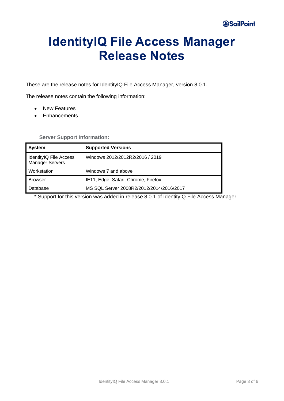## **IdentityIQ File Access Manager Release Notes**

These are the release notes for IdentityIQ File Access Manager, version 8.0.1.

The release notes contain the following information:

- New Features
- Enhancements

#### **Server Support Information:**

| <b>System</b>                                    | <b>Supported Versions</b>                |
|--------------------------------------------------|------------------------------------------|
| IdentityIQ File Access<br><b>Manager Servers</b> | Windows 2012/2012R2/2016 / 2019          |
| Workstation                                      | Windows 7 and above                      |
| <b>Browser</b>                                   | IE11, Edge, Safari, Chrome, Firefox      |
| Database                                         | MS SQL Server 2008R2/2012/2014/2016/2017 |

\* Support for this version was added in release 8.0.1 of IdentityIQ File Access Manager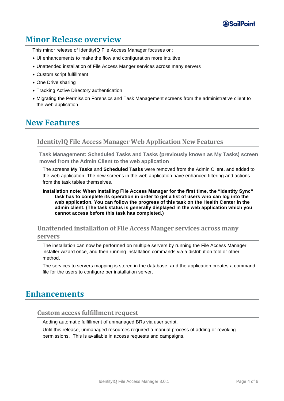

#### **Minor Release overview**

This minor release of IdentityIQ File Access Manager focuses on:

- UI enhancements to make the flow and configuration more intuitive
- Unattended installation of File Access Manger services across many servers
- Custom script fulfillment
- One Drive sharing
- Tracking Active Directory authentication
- Migrating the Permission Forensics and Task Management screens from the administrative client to the web application.

#### **New Features**

#### **IdentityIQ File Access Manager Web Application New Features**

**[Task Management: Scheduled Tasks and Tasks \(previously known as My Tasks\) screen](https://sailpoint.atlassian.net/browse/SIQDEV-8804) moved from the Admin Client to the web application**

The screens **My Tasks** and **Scheduled Tasks** were removed from the Admin Client, and added to the web application. The new screens in the web application have enhanced filtering and actions from the task tables themselves.

#### **Installation note: When installing File Access Manager for the first time, the "Identity Sync" task has to complete its operation in order to get a list of users who can log into the web application. You can follow the progress of this task on the Health Center in the admin client. (The task status is generally displayed in the web application which you cannot access before this task has completed.)**

### **Unattended installation of File Access Manger services across many**

#### **servers**

The installation can now be performed on multiple servers by running the File Access Manager installer wizard once, and then running installation commands via a distribution tool or other method.

The services to servers mapping is stored in the database, and the application creates a command file for the users to configure per installation server.

#### **Enhancements**

#### **Custom access fulfillment request**

Adding automatic fulfillment of unmanaged BRs via user script.

Until this release, unmanaged resources required a manual process of adding or revoking permissions. This is available in access requests and campaigns.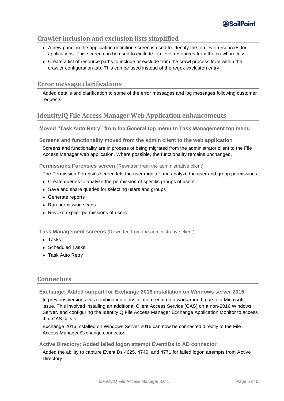

#### **Crawler inclusion and exclusion lists simplified**

- ◆ A new panel in the application definition screen is used to identify the top level resources for applications. This screen can be used to exclude top level resources from the crawl process.
- <sup>⧫</sup> Create a list of resource paths to include or exclude from the crawl process from within the crawler configuration tab. This can be used instead of the regex exclusion entry.

#### **Error message clarifications**

Added details and clarification to some of the error messages and log messages following customer requests.

#### **IdentityIQ File Access Manager Web Application enhancements**

**Moved "Task Auto Retry" from the General top menu to Task Management top menu**

**Screens and functionality moved from the admin client to the web application**

Screens and functionality are in process of being migrated from the administrator client to the File Access Manager web application. Where possible, the functionality remains unchanged.

**Permissions Forensics screen** (Rewritten from the administrative client)

The Permission Forensics screen lets the user monitor and analyze the user and group permissions

- <sup>⧫</sup> Create queries to analyze the permission of specific groups of users
- ◆ Save and share queries for selecting users and groups
- ◆ Generate reports
- <sup>⧫</sup> Run permission scans
- <sup>⧫</sup> Revoke explicit permissions of users.

**Task Management screens** (Rewritten from the administrative client)

- <sup>⧫</sup> Tasks
- ◆ Scheduled Tasks
- ◆ Task Auto Retry

#### **Connectors**

**Exchange: Added support for Exchange 2016 installation on Windows server 2016**

In previous versions this combination of installation required a workaround, due to a Microsoft issue. This involved installing an additional Client Access Service (CAS) on a non-2016 Windows Server, and configuring the IdentityIQ File Access Manager Exchange Application Monitor to access that CAS server.

Exchange 2016 installed on Windows Server 2016 can now be connected directly to the File Access Manager Exchange connector.

**Active Directory: Added failed logon attempt EventIDs to AD connector**

Added the ability to capture EventIDs 4625, 4740, and 4771 for failed logon attempts from Active Directory.